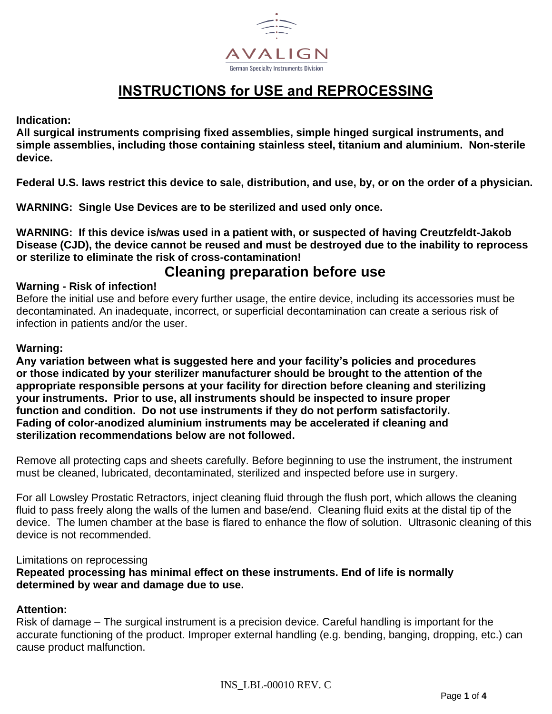

# **INSTRUCTIONS for USE and REPROCESSING**

**Indication:**

**All surgical instruments comprising fixed assemblies, simple hinged surgical instruments, and simple assemblies, including those containing stainless steel, titanium and aluminium. Non-sterile device.**

**Federal U.S. laws restrict this device to sale, distribution, and use, by, or on the order of a physician.**

**WARNING: Single Use Devices are to be sterilized and used only once.**

**WARNING: If this device is/was used in a patient with, or suspected of having Creutzfeldt-Jakob Disease (CJD), the device cannot be reused and must be destroyed due to the inability to reprocess or sterilize to eliminate the risk of cross-contamination!**

## **Cleaning preparation before use**

## **Warning - Risk of infection!**

Before the initial use and before every further usage, the entire device, including its accessories must be decontaminated. An inadequate, incorrect, or superficial decontamination can create a serious risk of infection in patients and/or the user.

## **Warning:**

**Any variation between what is suggested here and your facility's policies and procedures or those indicated by your sterilizer manufacturer should be brought to the attention of the appropriate responsible persons at your facility for direction before cleaning and sterilizing your instruments. Prior to use, all instruments should be inspected to insure proper function and condition. Do not use instruments if they do not perform satisfactorily. Fading of color-anodized aluminium instruments may be accelerated if cleaning and sterilization recommendations below are not followed.**

Remove all protecting caps and sheets carefully. Before beginning to use the instrument, the instrument must be cleaned, lubricated, decontaminated, sterilized and inspected before use in surgery.

For all Lowsley Prostatic Retractors, inject cleaning fluid through the flush port, which allows the cleaning fluid to pass freely along the walls of the lumen and base/end. Cleaning fluid exits at the distal tip of the device. The lumen chamber at the base is flared to enhance the flow of solution. Ultrasonic cleaning of this device is not recommended.

#### Limitations on reprocessing

**Repeated processing has minimal effect on these instruments. End of life is normally determined by wear and damage due to use.**

## **Attention:**

Risk of damage – The surgical instrument is a precision device. Careful handling is important for the accurate functioning of the product. Improper external handling (e.g. bending, banging, dropping, etc.) can cause product malfunction.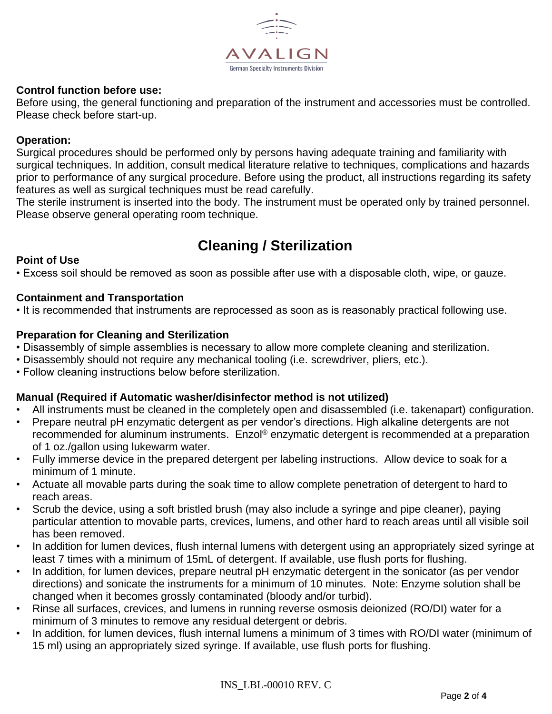

## **Control function before use:**

Before using, the general functioning and preparation of the instrument and accessories must be controlled. Please check before start-up.

#### **Operation:**

Surgical procedures should be performed only by persons having adequate training and familiarity with surgical techniques. In addition, consult medical literature relative to techniques, complications and hazards prior to performance of any surgical procedure. Before using the product, all instructions regarding its safety features as well as surgical techniques must be read carefully.

The sterile instrument is inserted into the body. The instrument must be operated only by trained personnel. Please observe general operating room technique.

## **Cleaning / Sterilization**

### **Point of Use**

• Excess soil should be removed as soon as possible after use with a disposable cloth, wipe, or gauze.

#### **Containment and Transportation**

• It is recommended that instruments are reprocessed as soon as is reasonably practical following use.

#### **Preparation for Cleaning and Sterilization**

- Disassembly of simple assemblies is necessary to allow more complete cleaning and sterilization.
- Disassembly should not require any mechanical tooling (i.e. screwdriver, pliers, etc.).
- Follow cleaning instructions below before sterilization.

#### **Manual (Required if Automatic washer/disinfector method is not utilized)**

- All instruments must be cleaned in the completely open and disassembled (i.e. takenapart) configuration.
- Prepare neutral pH enzymatic detergent as per vendor's directions. High alkaline detergents are not recommended for aluminum instruments. Enzol® enzymatic detergent is recommended at a preparation of 1 oz./gallon using lukewarm water.
- Fully immerse device in the prepared detergent per labeling instructions. Allow device to soak for a minimum of 1 minute.
- Actuate all movable parts during the soak time to allow complete penetration of detergent to hard to reach areas.
- Scrub the device, using a soft bristled brush (may also include a syringe and pipe cleaner), paying particular attention to movable parts, crevices, lumens, and other hard to reach areas until all visible soil has been removed.
- In addition for lumen devices, flush internal lumens with detergent using an appropriately sized syringe at least 7 times with a minimum of 15mL of detergent. If available, use flush ports for flushing.
- In addition, for lumen devices, prepare neutral pH enzymatic detergent in the sonicator (as per vendor directions) and sonicate the instruments for a minimum of 10 minutes. Note: Enzyme solution shall be changed when it becomes grossly contaminated (bloody and/or turbid).
- Rinse all surfaces, crevices, and lumens in running reverse osmosis deionized (RO/DI) water for a minimum of 3 minutes to remove any residual detergent or debris.
- In addition, for lumen devices, flush internal lumens a minimum of 3 times with RO/DI water (minimum of 15 ml) using an appropriately sized syringe. If available, use flush ports for flushing.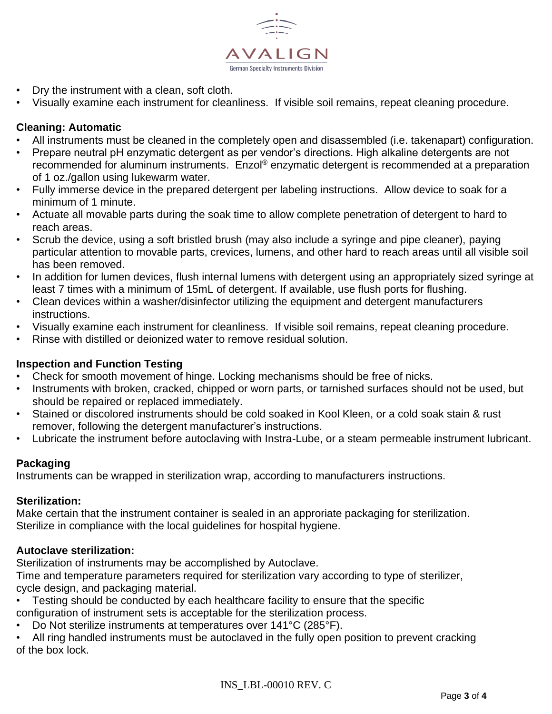

- Dry the instrument with a clean, soft cloth.
- Visually examine each instrument for cleanliness. If visible soil remains, repeat cleaning procedure.

## **Cleaning: Automatic**

- All instruments must be cleaned in the completely open and disassembled (i.e. takenapart) configuration.
- Prepare neutral pH enzymatic detergent as per vendor's directions. High alkaline detergents are not recommended for aluminum instruments. Enzol® enzymatic detergent is recommended at a preparation of 1 oz./gallon using lukewarm water.
- Fully immerse device in the prepared detergent per labeling instructions. Allow device to soak for a minimum of 1 minute.
- Actuate all movable parts during the soak time to allow complete penetration of detergent to hard to reach areas.
- Scrub the device, using a soft bristled brush (may also include a syringe and pipe cleaner), paying particular attention to movable parts, crevices, lumens, and other hard to reach areas until all visible soil has been removed.
- In addition for lumen devices, flush internal lumens with detergent using an appropriately sized syringe at least 7 times with a minimum of 15mL of detergent. If available, use flush ports for flushing.
- Clean devices within a washer/disinfector utilizing the equipment and detergent manufacturers instructions.
- Visually examine each instrument for cleanliness. If visible soil remains, repeat cleaning procedure.
- Rinse with distilled or deionized water to remove residual solution.

## **Inspection and Function Testing**

- Check for smooth movement of hinge. Locking mechanisms should be free of nicks.
- Instruments with broken, cracked, chipped or worn parts, or tarnished surfaces should not be used, but should be repaired or replaced immediately.
- Stained or discolored instruments should be cold soaked in Kool Kleen, or a cold soak stain & rust remover, following the detergent manufacturer's instructions.
- Lubricate the instrument before autoclaving with Instra-Lube, or a steam permeable instrument lubricant.

## **Packaging**

Instruments can be wrapped in sterilization wrap, according to manufacturers instructions.

## **Sterilization:**

Make certain that the instrument container is sealed in an approriate packaging for sterilization. Sterilize in compliance with the local guidelines for hospital hygiene.

## **Autoclave sterilization:**

Sterilization of instruments may be accomplished by Autoclave.

Time and temperature parameters required for sterilization vary according to type of sterilizer, cycle design, and packaging material.

• Testing should be conducted by each healthcare facility to ensure that the specific

configuration of instrument sets is acceptable for the sterilization process.

- Do Not sterilize instruments at temperatures over  $141^{\circ}$ C (285 $^{\circ}$ F).
- All ring handled instruments must be autoclaved in the fully open position to prevent cracking of the box lock.